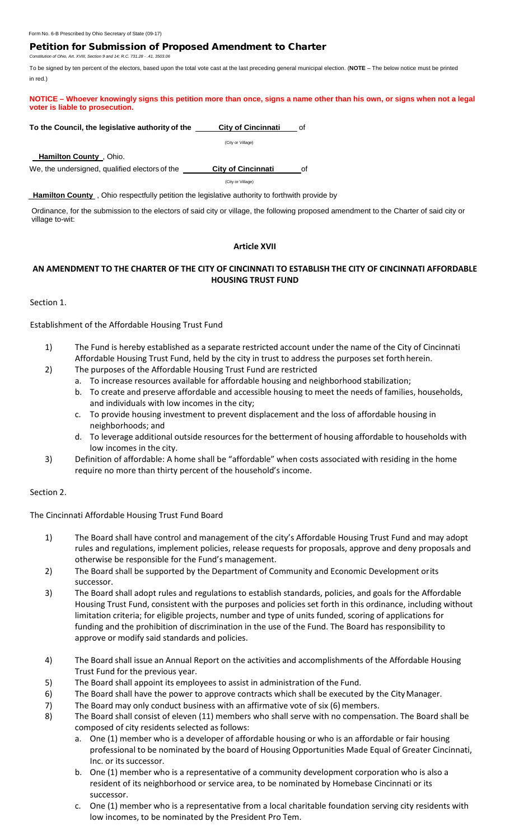## Petition for Submission of Proposed Amendment to Charter

*Constitution of Ohio, Art. XVIII, Section 9 and 14; R.C. 731.28 - .41, 3503.06*

To be signed by ten percent of the electors, based upon the total vote cast at the last preceding general municipal election. (**NOTE** – The below notice must be printed in red.)

**NOTICE – Whoever knowingly signs this petition more than once, signs a name other than his own, or signs when not a legal voter is liable to prosecution.**

#### **To the Council, the legislative authority of the City of Cincinnati of**

(City or Village)

 **Hamilton County** , Ohio.

We, the undersigned, qualified electors of the **City of Cincinnati** of

(City or Village)

 **Hamilton County** , Ohio respectfully petition the legislative authority to forthwith provide by

Ordinance, for the submission to the electors of said city or village, the following proposed amendment to the Charter of said city or village to-wit:

### **Article XVII**

## **AN AMENDMENT TO THE CHARTER OF THE CITY OF CINCINNATI TO ESTABLISH THE CITY OF CINCINNATI AFFORDABLE HOUSING TRUST FUND**

Section 1.

Establishment of the Affordable Housing Trust Fund

- 1) The Fund is hereby established as a separate restricted account under the name of the City of Cincinnati Affordable Housing Trust Fund, held by the city in trust to address the purposes set forth herein.
- 2) The purposes of the Affordable Housing Trust Fund are restricted
	- a. To increase resources available for affordable housing and neighborhood stabilization;
	- b. To create and preserve affordable and accessible housing to meet the needs of families, households, and individuals with low incomes in the city;
	- c. To provide housing investment to prevent displacement and the loss of affordable housing in neighborhoods; and
	- d. To leverage additional outside resources for the betterment of housing affordable to households with low incomes in the city.
- 3) Definition of affordable: A home shall be "affordable" when costs associated with residing in the home require no more than thirty percent of the household's income.

### Section 2.

The Cincinnati Affordable Housing Trust Fund Board

- 1) The Board shall have control and management of the city's Affordable Housing Trust Fund and may adopt rules and regulations, implement policies, release requests for proposals, approve and deny proposals and otherwise be responsible for the Fund's management.
- 2) The Board shall be supported by the Department of Community and Economic Development orits successor.
- 3) The Board shall adopt rules and regulations to establish standards, policies, and goals for the Affordable Housing Trust Fund, consistent with the purposes and policies set forth in this ordinance, including without limitation criteria; for eligible projects, number and type of units funded, scoring of applications for funding and the prohibition of discrimination in the use of the Fund. The Board has responsibility to approve or modify said standards and policies.
- 4) The Board shall issue an Annual Report on the activities and accomplishments of the Affordable Housing Trust Fund for the previous year.
- 5) The Board shall appoint its employees to assist in administration of the Fund.
- 6) The Board shall have the power to approve contracts which shall be executed by the CityManager.
- 7) The Board may only conduct business with an affirmative vote of six (6) members.
- 8) The Board shall consist of eleven (11) members who shall serve with no compensation. The Board shall be composed of city residents selected as follows:
	- a. One (1) member who is a developer of affordable housing or who is an affordable or fair housing professional to be nominated by the board of Housing Opportunities Made Equal of Greater Cincinnati, Inc. or its successor.
	- b. One (1) member who is a representative of a community development corporation who is also a resident of its neighborhood or service area, to be nominated by Homebase Cincinnati or its successor.
	- c. One (1) member who is a representative from a local charitable foundation serving city residents with low incomes, to be nominated by the President Pro Tem.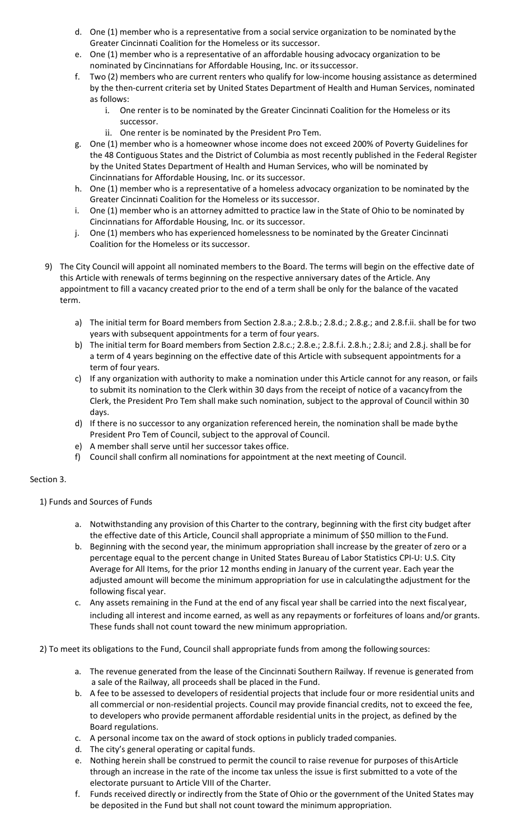- d. One (1) member who is a representative from a social service organization to be nominated by the Greater Cincinnati Coalition for the Homeless or its successor.
- e. One (1) member who is a representative of an affordable housing advocacy organization to be nominated by Cincinnatians for Affordable Housing, Inc. or itssuccessor.
- f. Two (2) members who are current renters who qualify for low-income housing assistance as determined by the then-current criteria set by United States Department of Health and Human Services, nominated as follows:
	- i. One renter is to be nominated by the Greater Cincinnati Coalition for the Homeless or its successor.
	- ii. One renter is be nominated by the President Pro Tem.
- g. One (1) member who is a homeowner whose income does not exceed 200% of Poverty Guidelines for the 48 Contiguous States and the District of Columbia as most recently published in the Federal Register by the United States Department of Health and Human Services, who will be nominated by Cincinnatians for Affordable Housing, Inc. or its successor.
- h. One (1) member who is a representative of a homeless advocacy organization to be nominated by the Greater Cincinnati Coalition for the Homeless or its successor.
- i. One (1) member who is an attorney admitted to practice law in the State of Ohio to be nominated by Cincinnatians for Affordable Housing, Inc. or its successor.
- j. One (1) members who has experienced homelessness to be nominated by the Greater Cincinnati Coalition for the Homeless or its successor.
- 9) The City Council will appoint all nominated members to the Board. The terms will begin on the effective date of this Article with renewals of terms beginning on the respective anniversary dates of the Article. Any appointment to fill a vacancy created prior to the end of a term shall be only for the balance of the vacated term.
	- a) The initial term for Board members from Section 2.8.a.; 2.8.b.; 2.8.d.; 2.8.g.; and 2.8.f.ii. shall be for two years with subsequent appointments for a term of four years.
	- b) The initial term for Board members from Section 2.8.c.; 2.8.e.; 2.8.f.i. 2.8.h.; 2.8.i; and 2.8.j. shall be for a term of 4 years beginning on the effective date of this Article with subsequent appointments for a term of four years.
	- c) If any organization with authority to make a nomination under this Article cannot for any reason, or fails to submit its nomination to the Clerk within 30 days from the receipt of notice of a vacancyfrom the Clerk, the President Pro Tem shall make such nomination, subject to the approval of Council within 30 days.
	- d) If there is no successor to any organization referenced herein, the nomination shall be made bythe President Pro Tem of Council, subject to the approval of Council.
	- e) A member shall serve until her successor takes office.
	- f) Council shall confirm all nominations for appointment at the next meeting of Council.

## Section 3.

1) Funds and Sources of Funds

- a. Notwithstanding any provision of this Charter to the contrary, beginning with the first city budget after the effective date of this Article, Council shall appropriate a minimum of \$50 million to theFund.
- b. Beginning with the second year, the minimum appropriation shall increase by the greater of zero or a percentage equal to the percent change in United States Bureau of Labor Statistics CPI‐U: U.S. City Average for All Items, for the prior 12 months ending in January of the current year. Each year the adjusted amount will become the minimum appropriation for use in calculatingthe adjustment for the following fiscal year.
- c. Any assets remaining in the Fund at the end of any fiscal year shall be carried into the next fiscalyear, including all interest and income earned, as well as any repayments or forfeitures of loans and/or grants. These funds shall not count toward the new minimum appropriation.

2) To meet its obligations to the Fund, Council shall appropriate funds from among the following sources:

- a. The revenue generated from the lease of the Cincinnati Southern Railway. If revenue is generated from a sale of the Railway, all proceeds shall be placed in the Fund.
- b. A fee to be assessed to developers of residential projects that include four or more residential units and all commercial or non‐residential projects. Council may provide financial credits, not to exceed the fee, to developers who provide permanent affordable residential units in the project, as defined by the Board regulations.
- c. A personal income tax on the award of stock options in publicly traded companies.
- d. The city's general operating or capital funds.
- e. Nothing herein shall be construed to permit the council to raise revenue for purposes of thisArticle through an increase in the rate of the income tax unless the issue is first submitted to a vote of the electorate pursuant to Article VIII of the Charter.
- f. Funds received directly or indirectly from the State of Ohio or the government of the United States may be deposited in the Fund but shall not count toward the minimum appropriation.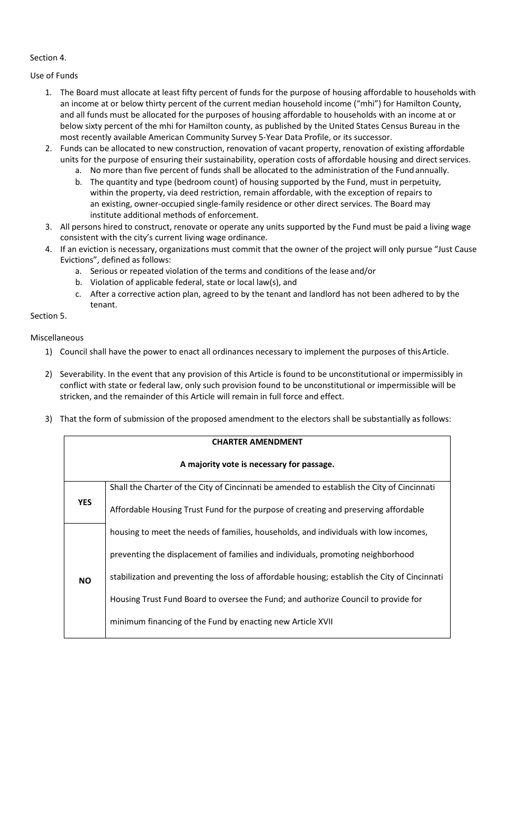## Section 4.

Use of Funds

- 1. The Board must allocate at least fifty percent of funds for the purpose of housing affordable to households with an income at or below thirty percent of the current median household income ("mhi") for Hamilton County, and all funds must be allocated for the purposes of housing affordable to households with an income at or below sixty percent of the mhi for Hamilton county, as published by the United States Census Bureau in the most recently available American Community Survey 5-Year Data Profile, or its successor.
- 2. Funds can be allocated to new construction, renovation of vacant property, renovation of existing affordable units for the purpose of ensuring their sustainability, operation costs of affordable housing and direct services.
	- a. No more than five percent of funds shall be allocated to the administration of the Fundannually.
	- b. The quantity and type (bedroom count) of housing supported by the Fund, must in perpetuity, within the property, via deed restriction, remain affordable, with the exception of repairs to an existing, owner-occupied single-family residence or other direct services. The Board may institute additional methods of enforcement.
- 3. All persons hired to construct, renovate or operate any units supported by the Fund must be paid a living wage consistent with the city's current living wage ordinance.
- 4. If an eviction is necessary, organizations must commit that the owner of the project will only pursue "Just Cause Evictions", defined as follows:
	- a. Serious or repeated violation of the terms and conditions of the lease and/or
	- b. Violation of applicable federal, state or local law(s), and
	- c. After a corrective action plan, agreed to by the tenant and landlord has not been adhered to by the tenant.

Section 5.

Miscellaneous

- 1) Council shall have the power to enact all ordinances necessary to implement the purposes of thisArticle.
- 2) Severability. In the event that any provision of this Article is found to be unconstitutional or impermissibly in conflict with state or federal law, only such provision found to be unconstitutional or impermissible will be stricken, and the remainder of this Article will remain in full force and effect.
- 3) That the form of submission of the proposed amendment to the electors shall be substantially asfollows:

|            | <b>CHARTER AMENDMENT</b>                                                                      |
|------------|-----------------------------------------------------------------------------------------------|
|            | A majority vote is necessary for passage.                                                     |
|            | Shall the Charter of the City of Cincinnati be amended to establish the City of Cincinnati    |
| <b>YES</b> | Affordable Housing Trust Fund for the purpose of creating and preserving affordable           |
|            | housing to meet the needs of families, households, and individuals with low incomes,          |
|            | preventing the displacement of families and individuals, promoting neighborhood               |
| <b>NO</b>  | stabilization and preventing the loss of affordable housing; establish the City of Cincinnati |
|            | Housing Trust Fund Board to oversee the Fund; and authorize Council to provide for            |
|            | minimum financing of the Fund by enacting new Article XVII                                    |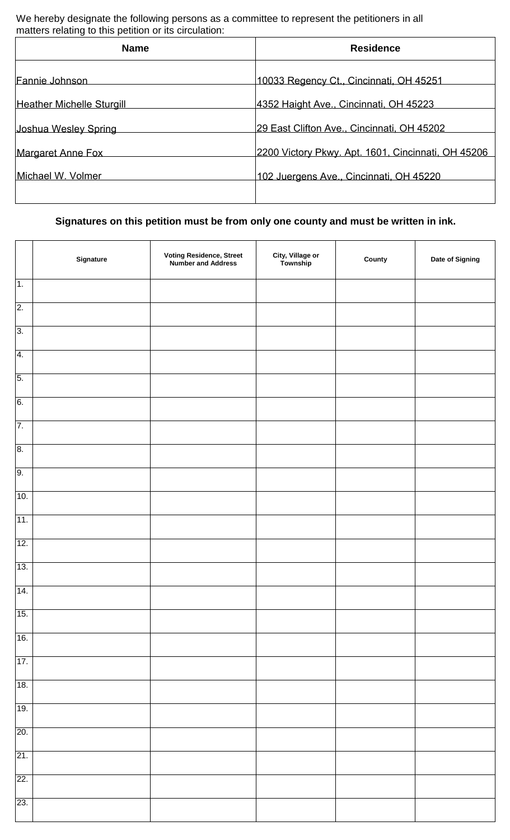We hereby designate the following persons as a committee to represent the petitioners in all matters relating to this petition or its circulation:

| <b>Name</b>                      | <b>Residence</b>                                   |  |
|----------------------------------|----------------------------------------------------|--|
| Fannie Johnson                   | 10033 Regency Ct., Cincinnati, OH 45251            |  |
| <b>Heather Michelle Sturgill</b> | 4352 Haight Ave., Cincinnati, OH 45223             |  |
| Joshua Wesley Spring             | 29 East Clifton Ave., Cincinnati, OH 45202         |  |
| Margaret Anne Fox                | 2200 Victory Pkwy. Apt. 1601, Cincinnati, OH 45206 |  |
| Michael W. Volmer                | 102 Juergens Ave., Cincinnati, OH 45220            |  |
|                                  |                                                    |  |

# **Signatures on this petition must be from only one county and must be written in ink.**

|                  | Signature | <b>Voting Residence, Street<br/>Number and Address</b> | City, Village or<br>Township | County | Date of Signing |
|------------------|-----------|--------------------------------------------------------|------------------------------|--------|-----------------|
| 1.               |           |                                                        |                              |        |                 |
| $\overline{2}$ . |           |                                                        |                              |        |                 |
| $\overline{3}$ . |           |                                                        |                              |        |                 |
| $\overline{4}$ . |           |                                                        |                              |        |                 |
| $\overline{5}$ . |           |                                                        |                              |        |                 |
| 6.               |           |                                                        |                              |        |                 |
| 7.               |           |                                                        |                              |        |                 |
| 8.               |           |                                                        |                              |        |                 |
| 9.               |           |                                                        |                              |        |                 |
| 10.              |           |                                                        |                              |        |                 |
| 11.              |           |                                                        |                              |        |                 |
| 12.              |           |                                                        |                              |        |                 |
| 13.              |           |                                                        |                              |        |                 |
| 14.              |           |                                                        |                              |        |                 |
| 15.              |           |                                                        |                              |        |                 |
| 16.              |           |                                                        |                              |        |                 |
| 17.              |           |                                                        |                              |        |                 |
| 18.              |           |                                                        |                              |        |                 |
| 19.              |           |                                                        |                              |        |                 |
| 20.              |           |                                                        |                              |        |                 |
| 21.              |           |                                                        |                              |        |                 |
| 22.              |           |                                                        |                              |        |                 |
| 23.              |           |                                                        |                              |        |                 |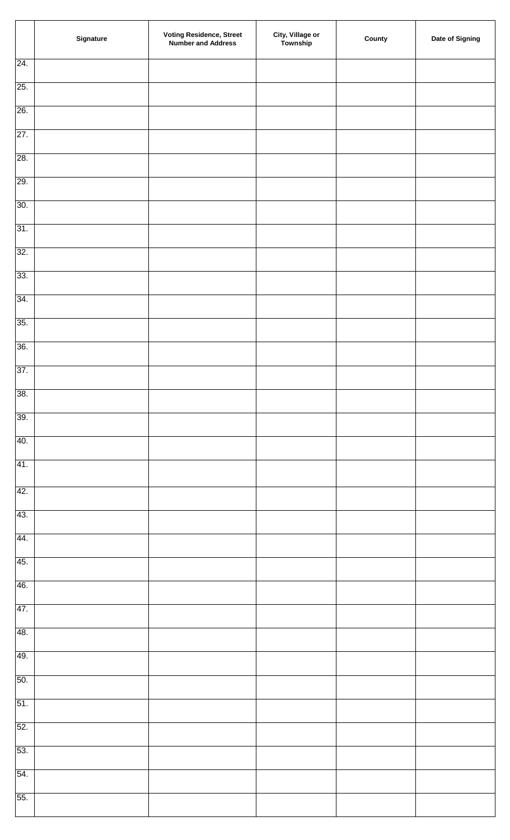|     | Signature | <b>Voting Residence, Street<br/>Number and Address</b> | <b>City, Village or<br/>Township</b> | County | Date of Signing |
|-----|-----------|--------------------------------------------------------|--------------------------------------|--------|-----------------|
| 24. |           |                                                        |                                      |        |                 |
| 25. |           |                                                        |                                      |        |                 |
| 26. |           |                                                        |                                      |        |                 |
| 27. |           |                                                        |                                      |        |                 |
| 28. |           |                                                        |                                      |        |                 |
| 29. |           |                                                        |                                      |        |                 |
| 30. |           |                                                        |                                      |        |                 |
| 31. |           |                                                        |                                      |        |                 |
| 32. |           |                                                        |                                      |        |                 |
| 33. |           |                                                        |                                      |        |                 |
| 34. |           |                                                        |                                      |        |                 |
| 35. |           |                                                        |                                      |        |                 |
| 36. |           |                                                        |                                      |        |                 |
| 37. |           |                                                        |                                      |        |                 |
| 38. |           |                                                        |                                      |        |                 |
| 39. |           |                                                        |                                      |        |                 |
| 40. |           |                                                        |                                      |        |                 |
| 41. |           |                                                        |                                      |        |                 |
| 42. |           |                                                        |                                      |        |                 |
| 43. |           |                                                        |                                      |        |                 |
| 44. |           |                                                        |                                      |        |                 |
| 45. |           |                                                        |                                      |        |                 |
| 46. |           |                                                        |                                      |        |                 |
| 47. |           |                                                        |                                      |        |                 |
| 48. |           |                                                        |                                      |        |                 |
| 49. |           |                                                        |                                      |        |                 |
| 50. |           |                                                        |                                      |        |                 |
| 51. |           |                                                        |                                      |        |                 |
| 52. |           |                                                        |                                      |        |                 |
| 53. |           |                                                        |                                      |        |                 |
| 54. |           |                                                        |                                      |        |                 |
| 55. |           |                                                        |                                      |        |                 |